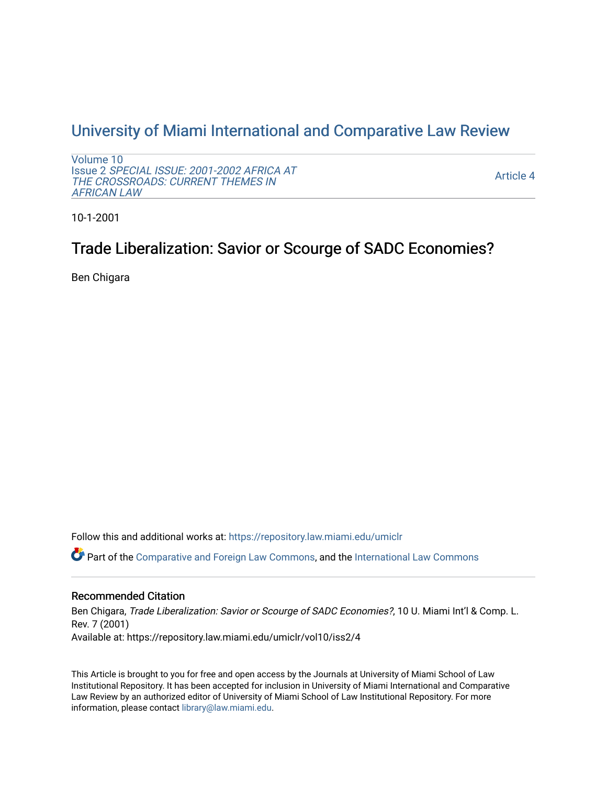## [University of Miami International and Comparative Law Review](https://repository.law.miami.edu/umiclr)

[Volume 10](https://repository.law.miami.edu/umiclr/vol10) Issue 2 [SPECIAL ISSUE: 2001-2002 AFRICA AT](https://repository.law.miami.edu/umiclr/vol10/iss2)  [THE CROSSROADS: CURRENT THEMES IN](https://repository.law.miami.edu/umiclr/vol10/iss2) [AFRICAN LAW](https://repository.law.miami.edu/umiclr/vol10/iss2) 

[Article 4](https://repository.law.miami.edu/umiclr/vol10/iss2/4) 

10-1-2001

# Trade Liberalization: Savior or Scourge of SADC Economies?

Ben Chigara

Follow this and additional works at: [https://repository.law.miami.edu/umiclr](https://repository.law.miami.edu/umiclr?utm_source=repository.law.miami.edu%2Fumiclr%2Fvol10%2Fiss2%2F4&utm_medium=PDF&utm_campaign=PDFCoverPages)

Part of the [Comparative and Foreign Law Commons,](http://network.bepress.com/hgg/discipline/836?utm_source=repository.law.miami.edu%2Fumiclr%2Fvol10%2Fiss2%2F4&utm_medium=PDF&utm_campaign=PDFCoverPages) and the [International Law Commons](http://network.bepress.com/hgg/discipline/609?utm_source=repository.law.miami.edu%2Fumiclr%2Fvol10%2Fiss2%2F4&utm_medium=PDF&utm_campaign=PDFCoverPages)

## Recommended Citation

Ben Chigara, Trade Liberalization: Savior or Scourge of SADC Economies?, 10 U. Miami Int'l & Comp. L. Rev. 7 (2001) Available at: https://repository.law.miami.edu/umiclr/vol10/iss2/4

This Article is brought to you for free and open access by the Journals at University of Miami School of Law Institutional Repository. It has been accepted for inclusion in University of Miami International and Comparative Law Review by an authorized editor of University of Miami School of Law Institutional Repository. For more information, please contact [library@law.miami.edu](mailto:library@law.miami.edu).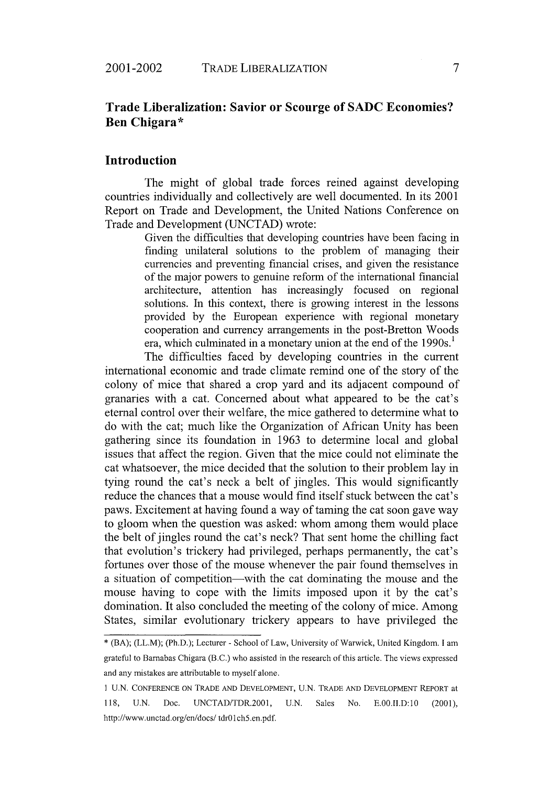2001-2002

## **Trade Liberalization: Savior or Scourge of SADC Economies? Ben Chigara\***

#### **Introduction**

The might of global trade forces reined against developing countries individually and collectively are well documented. In its 2001 Report on Trade and Development, the United Nations Conference on Trade and Development (UNCTAD) wrote:

> Given the difficulties that developing countries have been facing in finding unilateral solutions to the problem of managing their currencies and preventing financial crises, and given the resistance of the major powers to genuine reform of the international financial architecture, attention has increasingly focused on regional solutions. In this context, there is growing interest in the lessons provided by the European experience with regional monetary cooperation and currency arrangements in the post-Bretton Woods era, which culminated in a monetary union at the end of the  $1990s<sup>1</sup>$ .

The difficulties faced by developing countries in the current international economic and trade climate remind one of the story of the colony of mice that shared a crop yard and its adjacent compound of granaries with a cat. Concerned about what appeared to be the cat's eternal control over their welfare, the mice gathered to determine what to do with the cat; much like the Organization of African Unity has been gathering since its foundation in 1963 to determine local and global issues that affect the region. Given that the mice could not eliminate the cat whatsoever, the mice decided that the solution to their problem lay in tying round the cat's neck a belt of jingles. This would significantly reduce the chances that a mouse would find itself stuck between the cat's paws. Excitement at having found a way of taming the cat soon gave way to gloom when the question was asked: whom among them would place the belt of jingles round the cat's neck? That sent home the chilling fact that evolution's trickery had privileged, perhaps permanently, the cat's fortunes over those of the mouse whenever the pair found themselves in a situation of competition—with the cat dominating the mouse and the mouse having to cope with the limits imposed upon it by the cat's domination. It also concluded the meeting of the colony of mice. Among States, similar evolutionary trickery appears to have privileged the

<sup>\*</sup> (BA); (LL.M); (Ph.D.); Lecturer - School of Law, University of Warwick, United Kingdom. **I** am grateful to Barnabas Chigara (B.C.) who assisted in the research of this article. The views expressed and any mistakes are attributable to myself alone.

**I** U.N. CONFERENCE ON TRADE AND DEVELOPMENT, U.N. TRADE AND DEVELOPMENT REPORT at 118, U.N. Doc. UNCTAD/TDR.2001, U.N. Sales No. E.00.II.D:10 (2001), http://www.unctad.org/en/docs/tdr01ch5.en.pdf.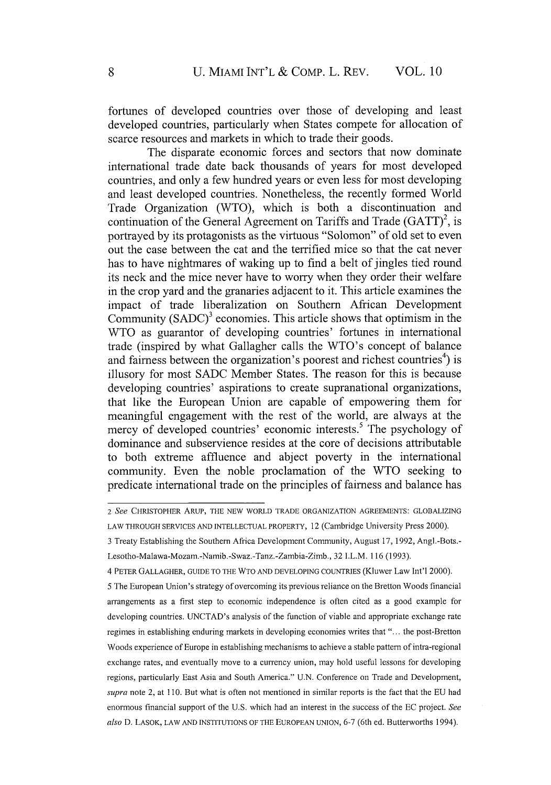fortunes of developed countries over those of developing and least developed countries, particularly when States compete for allocation of scarce resources and markets in which to trade their goods.

The disparate economic forces and sectors that now dominate international trade date back thousands of years for most developed countries, and only a few hundred years or even less for most developing and least developed countries. Nonetheless, the recently formed World Trade Organization (WTO), which is both a discontinuation and continuation of the General Agreement on Tariffs and Trade  $(GATT)^2$ , is portrayed by its protagonists as the virtuous "Solomon" of old set to even out the case between the cat and the terrified mice so that the cat never has to have nightmares of waking up to find a belt of jingles tied round its neck and the mice never have to worry when they order their welfare in the crop yard and the granaries adjacent to it. This article examines the impact of trade liberalization on Southern African Development Community  $(SADC)<sup>3</sup>$  economies. This article shows that optimism in the WTO as guarantor of developing countries' fortunes in international trade (inspired by what Gallagher calls the WTO's concept of balance and fairness between the organization's poorest and richest countries<sup>4</sup>) is illusory for most SADC Member States. The reason for this is because developing countries' aspirations to create supranational organizations, that like the European Union are capable of empowering them for meaningful engagement with the rest of the world, are always at the mercy of developed countries' economic interests.<sup>5</sup> The psychology of dominance and subservience resides at the core of decisions attributable to both extreme affluence and abject poverty in the international community. Even the noble proclamation of the WTO seeking to predicate international trade on the principles of fairness and balance has

*<sup>2</sup> See* CHRISTOPHER ARUP, THE NEW WORLD TRADE ORGANIZATION AGREEMENTS: GLOBALIZING LAW THROUGH SERVICES AND INTELLECTUAL PROPERTY, 12 (Cambridge University Press 2000).

<sup>3</sup> Treaty Establishing the Southern Africa Development Community, August 17, 1992, Angl.-Bots.- Lesotho-Malawa-Mozam.-Namib.-Swaz.-Tanz.-Zambia-Zimb., 32 I.L.M. 116 (1993).

<sup>4</sup> PETER GALLAGHER, GUIDE TO THE WTO AND DEVELOPING COUNTRIES (Kluwer Law Int'l 2000).

<sup>5</sup> The European Union's strategy of overcoming its previous reliance on the Bretton Woods financial arrangements as a first step to economic independence is often cited as a good example for developing countries. UNCTAD's analysis of the function of viable and appropriate exchange rate regimes in establishing enduring markets in developing economies writes that "... the post-Bretton Woods experience of Europe in establishing mechanisms to achieve a stable pattern of intra-regional exchange rates, and eventually move to a currency union, may hold useful lessons for developing regions, particularly East Asia and South America." U.N. Conference on Trade and Development, *supra* note 2, at 110. But what is often not mentioned in similar reports is the fact that the EU had enormous financial support of the U.S. which had an interest in the success of the EC project. *See also* D. LASOK, LAW AND INSTITUTIONS OF THE EUROPEAN UNION, **6-7** (6th ed. Butterworths 1994).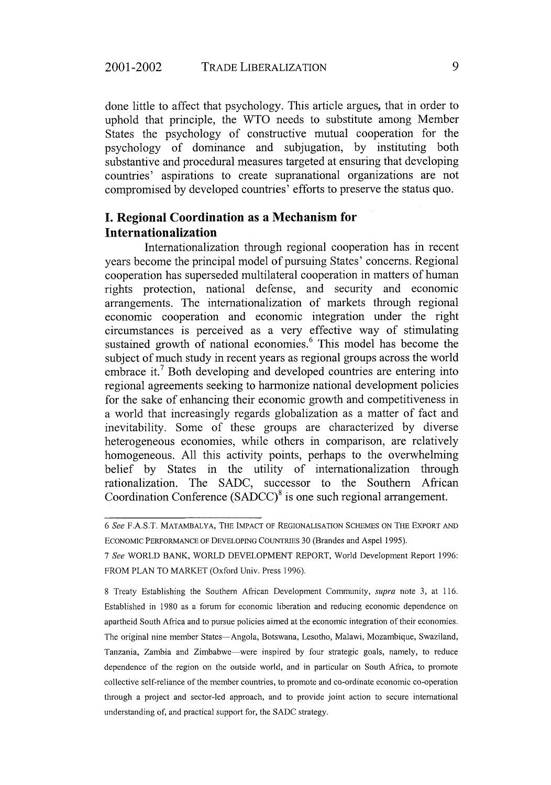done little to affect that psychology. This article argues, that in order to uphold that principle, the WTO needs to substitute among Member States the psychology of constructive mutual cooperation for the psychology of dominance and subjugation, by instituting both substantive and procedural measures targeted at ensuring that developing countries' aspirations to create supranational organizations are not compromised by developed countries' efforts to preserve the status quo.

## **I. Regional Coordination as a Mechanism for Internationalization**

Internationalization through regional cooperation has in recent years become the principal model of pursuing States' concerns. Regional cooperation has superseded multilateral cooperation in matters of human rights protection, national defense, and security and economic arrangements. The internationalization of markets through regional economic cooperation and economic integration under the right circumstances is perceived as a very effective way of stimulating sustained growth of national economies.<sup>6</sup> This model has become the subject of much study in recent years as regional groups across the world embrace it.<sup>7</sup> Both developing and developed countries are entering into regional agreements seeking to harmonize national development policies for the sake of enhancing their economic growth and competitiveness in a world that increasingly regards globalization as a matter of fact and inevitability. Some of these groups are characterized by diverse heterogeneous economies, while others in comparison, are relatively homogeneous. All this activity points, perhaps to the overwhelming belief by States in the utility of internationalization through rationalization. The SADC, successor to the Southern African Coordination Conference  $(SADCC)^8$  is one such regional arrangement.

*<sup>6</sup> See* **F.A.S.T.** MATAMBALYA, THE IMPACT OF REGIONALISATION SCHEMES ON THE EXPORT AND ECONOMIC PERFORMANCE OF DEVELOPING COUNTRIES 30 (Brandes and Aspel 1995).

*<sup>7</sup> See* WORLD BANK, WORLD DEVELOPMENT REPORT, World Development Report 1996: FROM PLAN TO MARKET (Oxford Univ. Press 1996).

<sup>8</sup> Treaty Establishing the Southern African Development Community, *supra* note 3, at 116. Established in 1980 as a forum for economic liberation and reducing economic dependence on apartheid South Africa and to pursue policies aimed at the economic integration of their economies. The original nine member States-Angola, Botswana, Lesotho, Malawi, Mozambique, Swaziland, Tanzania, Zambia and Zimbabwe-were inspired by four strategic goals, namely, to reduce dependence of the region on the outside world, and in particular on South Africa, to promote collective self-reliance of the member countries, to promote and co-ordinate economic co-operation through a project and sector-led approach, and to provide joint action to secure international understanding of, and practical support for, the SADC strategy.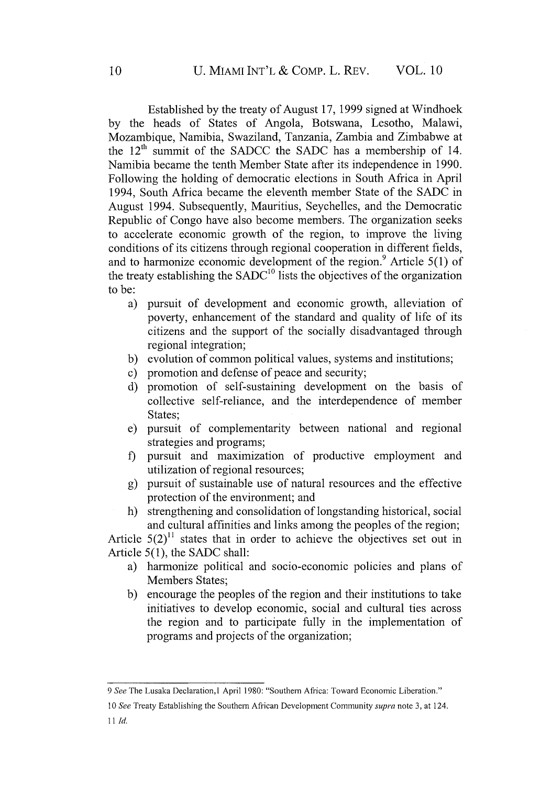Established by the treaty of August 17, 1999 signed at Windhoek by the heads of States of Angola, Botswana, Lesotho, Malawi, Mozambique, Namibia, Swaziland, Tanzania, Zambia and Zimbabwe at the  $12<sup>th</sup>$  summit of the SADCC the SADC has a membership of 14. Namibia became the tenth Member State after its independence in 1990. Following the holding of democratic elections in South Africa in April 1994, South Africa became the eleventh member State of the SADC in August 1994. Subsequently, Mauritius, Seychelles, and the Democratic Republic of Congo have also become members. The organization seeks to accelerate economic growth of the region, to improve the living conditions of its citizens through regional cooperation in different fields, and to harmonize economic development of the region.<sup>9</sup> Article 5(1) of the treaty establishing the  $SADC<sup>10</sup>$  lists the objectives of the organization to be:

- a) pursuit of development and economic growth, alleviation of poverty, enhancement of the standard and quality of life of its citizens and the support of the socially disadvantaged through regional integration;
- b) evolution of common political values, systems and institutions;
- c) promotion and defense of peace and security;
- d) promotion of self-sustaining development on the basis of collective self-reliance, and the interdependence of member States;
- e) pursuit of complementarity between national and regional strategies and programs;
- f) pursuit and maximization of productive employment and utilization of regional resources;
- g) pursuit of sustainable use of natural resources and the effective protection of the environment; and
- h) strengthening and consolidation of longstanding historical, social and cultural affinities and links among the peoples of the region;

Article  $5(2)^{11}$  states that in order to achieve the objectives set out in Article 5(1), the SADC shall:

- a) harmonize political and socio-economic policies and plans of Members States;
- b) encourage the peoples of the region and their institutions to take initiatives to develop economic, social and cultural ties across the region and to participate fully in the implementation of programs and projects of the organization;

<sup>9</sup> See The Lusaka Declaration, 1 April 1980: "Southern Africa: Toward Economic Liberation."

<sup>10</sup> *See* Treaty Establishing the Southern African Development Community *supra* note 3, at 124. *11 Id.*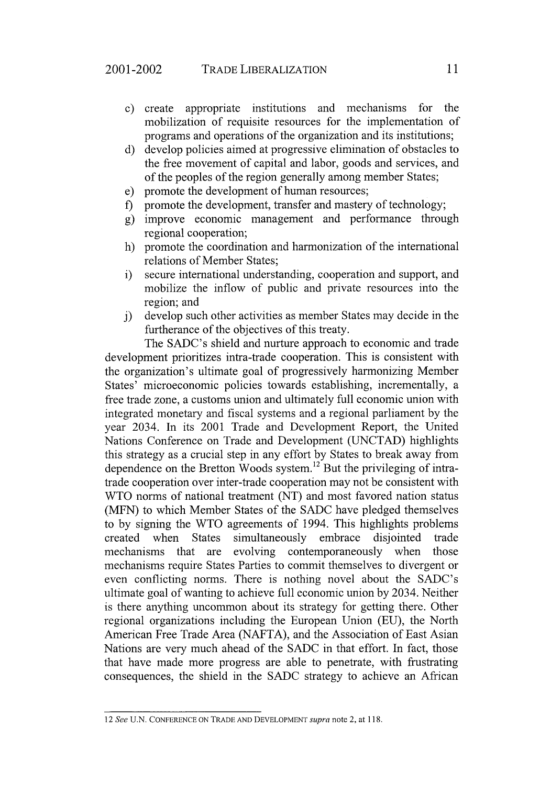- c) create appropriate institutions and mechanisms for the mobilization of requisite resources for the implementation of programs and operations of the organization and its institutions;
- d) develop policies aimed at progressive elimination of obstacles to the free movement of capital and labor, goods and services, and of the peoples of the region generally among member States;
- e) promote the development of human resources;
- f) promote the development, transfer and mastery of technology;
- g) improve economic management and performance through regional cooperation;
- h) promote the coordination and harmonization of the international relations of Member States;
- i) secure international understanding, cooperation and support, and mobilize the inflow of public and private resources into the region; and
- j) develop such other activities as member States may decide in the furtherance of the objectives of this treaty.

The SADC's shield and nurture approach to economic and trade development prioritizes intra-trade cooperation. This is consistent with the organization's ultimate goal of progressively harmonizing Member States' microeconomic policies towards establishing, incrementally, a free trade zone, a customs union and ultimately full economic union with integrated monetary and fiscal systems and a regional parliament by the year 2034. In its 2001 Trade and Development Report, the United Nations Conference on Trade and Development (UNCTAD) highlights this strategy as a crucial step in any effort by States to break away from dependence on the Bretton Woods system.<sup>12</sup> But the privileging of intratrade cooperation over inter-trade cooperation may not be consistent with WTO norms of national treatment (NT) and most favored nation status (MFN) to which Member States of the SADC have pledged themselves to by signing the WTO agreements of 1994. This highlights problems created when States simultaneously embrace disjointed trade mechanisms that are evolving contemporaneously when those mechanisms require States Parties to commit themselves to divergent or even conflicting norms. There is nothing novel about the SADC's ultimate goal of wanting to achieve full economic union by 2034. Neither is there anything uncommon about its strategy for getting there. Other regional organizations including the European Union (EU), the North American Free Trade Area (NAFTA), and the Association of East Asian Nations are very much ahead of the SADC in that effort. In fact, those that have made more progress are able to penetrate, with frustrating consequences, the shield in the SADC strategy to achieve an African

<sup>12</sup>*See* U.N. CONFERENCE ON TRADE AND DEVELOPMENT *supra* note 2, at 118.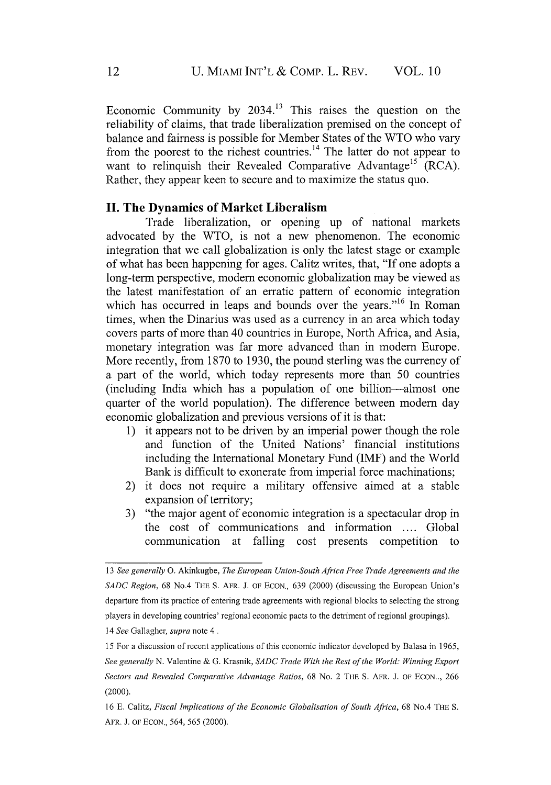Economic Community by  $2034<sup>13</sup>$  This raises the question on the reliability of claims, that trade liberalization premised on the concept of balance and fairness is possible for Member States of the WTO who vary from the poorest to the richest countries.<sup>14</sup> The latter do not appear to want to relinquish their Revealed Comparative Advantage<sup>15</sup> (RCA). Rather, they appear keen to secure and to maximize the status quo.

#### **II. The Dynamics of Market Liberalism**

Trade liberalization, or opening up of national markets advocated by the WTO, is not a new phenomenon. The economic integration that we call globalization is only the latest stage or example of what has been happening for ages. Calitz writes, that, "If one adopts a long-term perspective, modern economic globalization may be viewed as the latest manifestation of an erratic pattern of economic integration which has occurred in leaps and bounds over the years."<sup>16</sup> In Roman times, when the Dinarius was used as a currency in an area which today covers parts of more than 40 countries in Europe, North Africa, and Asia, monetary integration was far more advanced than in modern Europe. More recently, from 1870 to 1930, the pound sterling was the currency of a part of the world, which today represents more than 50 countries (including India which has a population of one billion-almost one quarter of the world population). The difference between modern day economic globalization and previous versions of it is that:

- 1) it appears not to be driven by an imperial power though the role and function of the United Nations' financial institutions including the International Monetary Fund (IMF) and the World Bank is difficult to exonerate from imperial force machinations;
- 2) it does not require a military offensive aimed at a stable expansion of territory;
- 3) "the major agent of economic integration is a spectacular drop in the cost of communications and information .... Global communication at falling cost presents competition to

*<sup>13</sup> See generally* **0.** Akinkugbe, *The European Union-South Africa Free Trade Agreements and the SADC Region,* 68 No.4 THE S. AFR. J. OF ECON., 639 (2000) (discussing the European Union's departure from its practice of entering trade agreements with regional blocks to selecting the strong players in developing countries' regional economic pacts to the detriment of regional groupings). 14 *See* Gallagher, *supra* note 4.

<sup>15</sup> For a discussion of recent applications of this economic indicator developed **by** Balasa in 1965, *See generally* N. Valentine & **G.** Krasnik, *SADC Trade With the Rest of the World: Winning Export Sectors and Revealed Comparative Advantage Ratios,* 68 No. 2 THE S. AFR. J. OF ECON.., 266 (2000).

<sup>16</sup> **E.** Calitz, *Fiscal Implications of the Economic Globalisation of South Africa,* 68 No.4 THE S. AFR. J. OF ECON., 564, 565 (2000).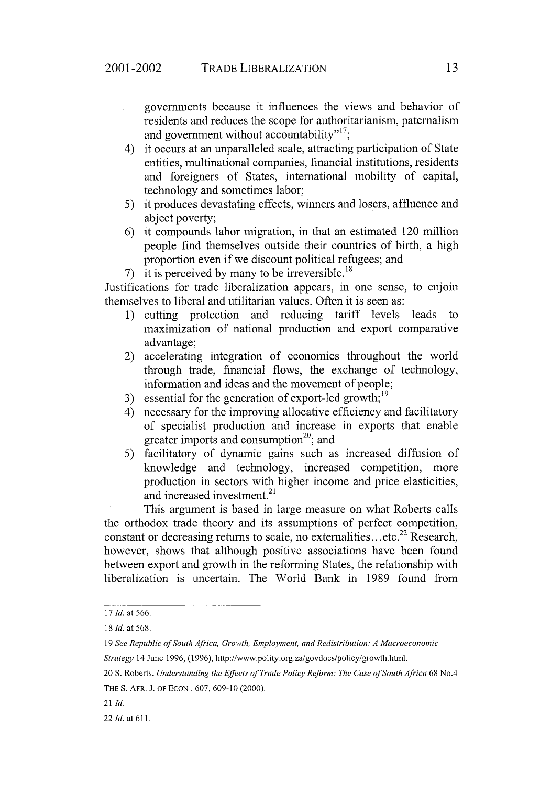governments because it influences the views and behavior of residents and reduces the scope for authoritarianism, paternalism and government without accountability"<sup>17</sup>:

- 4) it occurs at an unparalleled scale, attracting participation of State entities, multinational companies, financial institutions, residents and foreigners of States, international mobility of capital, technology and sometimes labor;
- 5) it produces devastating effects, winners and losers, affluence and abject poverty;
- 6) it compounds labor migration, in that an estimated 120 million people find themselves outside their countries of birth, a high proportion even if we discount political refugees; and
- 7) it is perceived by many to be irreversible.<sup>18</sup>

Justifications for trade liberalization appears, in one sense, to enjoin themselves to liberal and utilitarian values. Often it is seen as:

- 1) cutting protection and reducing tariff levels leads to maximization of national production and export comparative advantage;
- 2) accelerating integration of economies throughout the world through trade, financial flows, the exchange of technology, information and ideas and the movement of people;
- 3) essential for the generation of export-led growth;<sup>19</sup>
- 4) necessary for the improving allocative efficiency and facilitatory of specialist production and increase in exports that enable greater imports and consumption<sup>20</sup>; and
- 5) facilitatory of dynamic gains such as increased diffusion of knowledge and technology, increased competition, more production in sectors with higher income and price elasticities, and increased investment.<sup>21</sup>

This argument is based in large measure on what Roberts calls the orthodox trade theory and its assumptions of perfect competition, constant or decreasing returns to scale, no externalities... etc.<sup>22</sup> Research, however, shows that although positive associations have been found between export and growth in the reforming States, the relationship with liberalization is uncertain. The World Bank in 1989 found from

*<sup>17</sup> Id.* at 566.

*<sup>18</sup> Id.* at 568.

*<sup>19</sup> See Republic of South Africa, Growth, Employment, and Redistribution: A Macroeconomic*

*Strategy* 14 June 1996, (1996), http://www.polity.org.za/govdocs/policy/growth.html.

<sup>20</sup> S. Roberts, *Understanding the Effects of Trade Policy Reform: The Case of South Africa* 68 No.4 THE **S.** AFR. J. OF ECON . 607, 609-10 (2000).

<sup>21</sup> *Id.*

<sup>22</sup> *Id.* at **611.**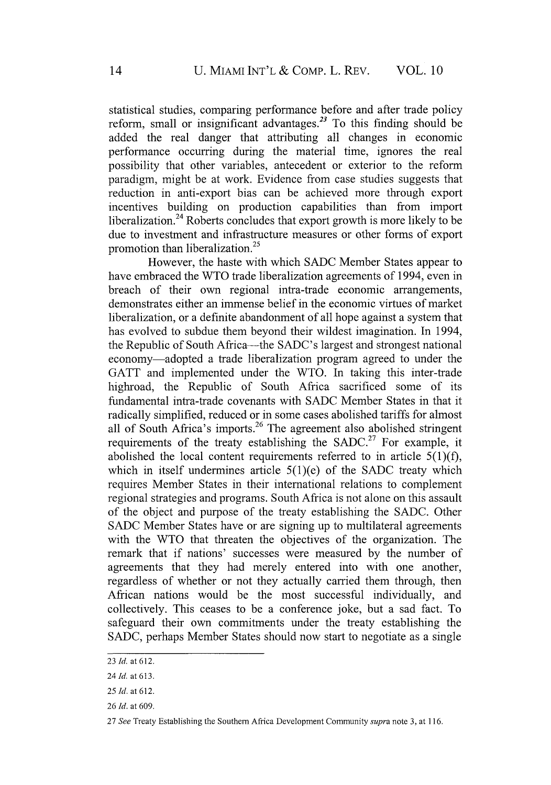statistical studies, comparing performance before and after trade policy reform, small or insignificant advantages.<sup>23</sup> To this finding should be added the real danger that attributing all changes in economic performance occurring during the material time, ignores the real possibility that other variables, antecedent or exterior to the reform paradigm, might be at work. Evidence from case studies suggests that reduction in anti-export bias can be achieved more through export incentives building on production capabilities than from import liberalization.<sup>24</sup> Roberts concludes that export growth is more likely to be due to investment and infrastructure measures or other forms of export promotion than liberalization.<sup>25</sup>

However, the haste with which SADC Member States appear to have embraced the WTO trade liberalization agreements of 1994, even in breach of their own regional intra-trade economic arrangements, demonstrates either an immense belief in the economic virtues of market liberalization, or a definite abandonment of all hope against a system that has evolved to subdue them beyond their wildest imagination. In 1994, the Republic of South Africa-the SADC's largest and strongest national economy-adopted a trade liberalization program agreed to under the GATT and implemented under the WTO. In taking this inter-trade highroad, the Republic of South Africa sacrificed some of its fundamental intra-trade covenants with SADC Member States in that it radically simplified, reduced or in some cases abolished tariffs for almost all of South Africa's imports.<sup>26</sup> The agreement also abolished stringent requirements of the treaty establishing the SADC.<sup>27</sup> For example, it abolished the local content requirements referred to in article *5(1)(f),* which in itself undermines article  $5(1)(e)$  of the SADC treaty which requires Member States in their international relations to complement regional strategies and programs. South Africa is not alone on this assault of the object and purpose of the treaty establishing the SADC. Other SADC Member States have or are signing up to multilateral agreements with the WTO that threaten the objectives of the organization. The remark that if nations' successes were measured by the number of agreements that they had merely entered into with one another, regardless of whether or not they actually carried them through, then African nations would be the most successful individually, and collectively. This ceases to be a conference joke, but a sad fact. To safeguard their own commitments under the treaty establishing the SADC, perhaps Member States should now start to negotiate as a single

<sup>23</sup> *Id.* at 612.

*<sup>24</sup> Id.* at 613.

*<sup>25</sup> Id.* at 612.

<sup>26</sup> *Id.* at 609.

<sup>27</sup> *See* Treaty Establishing the Southern Africa Development Community *supra* note 3, at 116.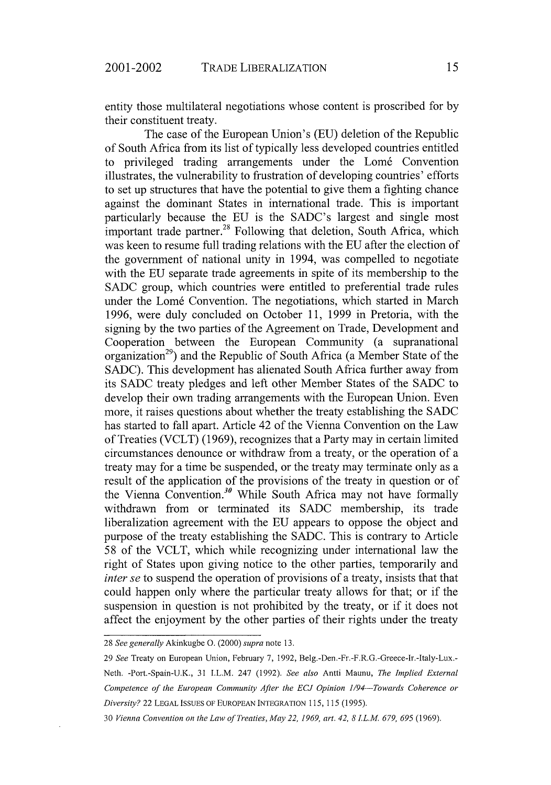entity those multilateral negotiations whose content is proscribed for by their constituent treaty.

The case of the European Union's (EU) deletion of the Republic of South Africa from its list of typically less developed countries entitled to privileged trading arrangements under the Lomé Convention illustrates, the vulnerability to frustration of developing countries' efforts to set up structures that have the potential to give them a fighting chance against the dominant States in international trade. This is important particularly because the EU is the SADC's largest and single most important trade partner.<sup>28</sup> Following that deletion, South Africa, which was keen to resume full trading relations with the EU after the election of the government of national unity in 1994, was compelled to negotiate with the EU separate trade agreements in spite of its membership to the SADC group, which countries were entitled to preferential trade rules under the Lomé Convention. The negotiations, which started in March 1996, were duly concluded on October 11, 1999 in Pretoria, with the signing by the two parties of the Agreement on Trade, Development and Cooperation between the European Community (a supranational organization<sup>29</sup>) and the Republic of South Africa (a Member State of the SADC). This development has alienated South Africa further away from its SADC treaty pledges and left other Member States of the SADC to develop their own trading arrangements with the European Union. Even more, it raises questions about whether the treaty establishing the SADC has started to fall apart. Article 42 of the Vienna Convention on the Law of Treaties (VCLT) (1969), recognizes that a Party may in certain limited circumstances denounce or withdraw from a treaty, or the operation of a treaty may for a time be suspended, or the treaty may terminate only as a result of the application of the provisions of the treaty in question or of the Vienna Convention.<sup>30</sup> While South Africa may not have formally withdrawn from or terminated its SADC membership, its trade liberalization agreement with the EU appears to oppose the object and purpose of the treaty establishing the SADC. This is contrary to Article 58 of the VCLT, which while recognizing under international law the right of States upon giving notice to the other parties, temporarily and *inter se* to suspend the operation of provisions of a treaty, insists that that could happen only where the particular treaty allows for that; or if the suspension in question is not prohibited by the treaty, or if it does not affect the enjoyment by the other parties of their rights under the treaty

<sup>28</sup> *See generally* Akinkugbe **0.** (2000) *supra* note 13.

<sup>29</sup> *See* Treaty on European Union, February 7, 1992, Belg.-Den.-Fr.-F.R.G.-Greece-Ir.-Italy-Lux.- Neth. -Port.-Spain-U.K., 31 I.L.M. 247 (1992). *See also* Antti Maunu, *The Implied External Competence of the European Community After the ECJ Opinion 1/94-Towards Coherence or Diversity?* 22 LEGAL ISSUES OF EUROPEAN INTEGRATION 115, **115** (1995).

<sup>30</sup> *Vienna Convention on the Law of Treaties, May* 22, *1969, art. 42, 8 I.L.M. 679, 695* (1969).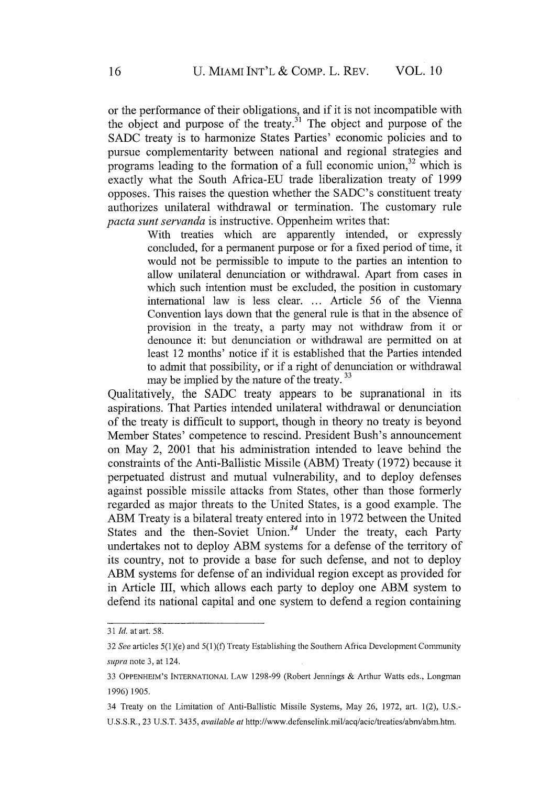or the performance of their obligations, and if it is not incompatible with the object and purpose of the treaty.<sup>31</sup> The object and purpose of the **SADC** treaty is to harmonize States Parties' economic policies and to pursue complementarity between national and regional strategies and programs leading to the formation of a full economic union,<sup>32</sup> which is exactly what the South Africa-EU trade liberalization treaty of 1999 opposes. This raises the question whether the SADC's constituent treaty authorizes unilateral withdrawal or termination. The customary rule *pacta sunt servanda* is instructive. Oppenheim writes that:

> With treaties which are apparently intended, or expressly concluded, for a permanent purpose or for a fixed period of time, it would not be permissible to impute to the parties an intention to allow unilateral denunciation or withdrawal. Apart from cases in which such intention must be excluded, the position in customary international law is less clear **...** Article 56 of the Vienna Convention lays down that the general rule is that in the absence of provision in the treaty, a party may not withdraw from it or denounce it: but denunciation or withdrawal are permitted on at least 12 months' notice if it is established that the Parties intended to admit that possibility, or if a right of denunciation or withdrawal may be implied by the nature of the treaty.<sup>33</sup>

Qualitatively, the SADC treaty appears to be supranational in its aspirations. That Parties intended unilateral withdrawal or denunciation of the treaty is difficult to support, though in theory no treaty is beyond Member States' competence to rescind. President Bush's announcement on May 2, 2001 that his administration intended to leave behind the constraints of the Anti-Ballistic Missile (ABM) Treaty (1972) because it perpetuated distrust and mutual vulnerability, and to deploy defenses against possible missile attacks from States, other than those formerly regarded as major threats to the United States, is a good example. The ABM Treaty is a bilateral treaty entered into in 1972 between the United States and the then-Soviet Union.<sup>34</sup> Under the treaty, each Party undertakes not to deploy ABM systems for a defense of the territory of its country, not to provide a base for such defense, and not to deploy ABM systems for defense of an individual region except as provided for in Article III, which allows each party to deploy one ABM system to defend its national capital and one system to defend a region containing

<sup>31</sup> *Id.* at art. 58.

<sup>32</sup> *See* articles 5(l)(e) and 5(1)(f) Treaty Establishing the Southern Africa Development Community *supra* note 3, at 124.

<sup>33</sup> OPPENHEIM'S INTERNATIONAL LAW 1298-99 (Robert Jennings & Arthur Watts eds., Longman 1996) 1905.

<sup>34</sup> Treaty on the Limitation of Anti-Ballistic Missile Systems, May 26, 1972, art. 1(2), U.S.- U.S.S.R., 23 **U.S.T.** 3435, *available at* http://www.defenselink.mil/acq/acie/treaties/abm/abm.htm.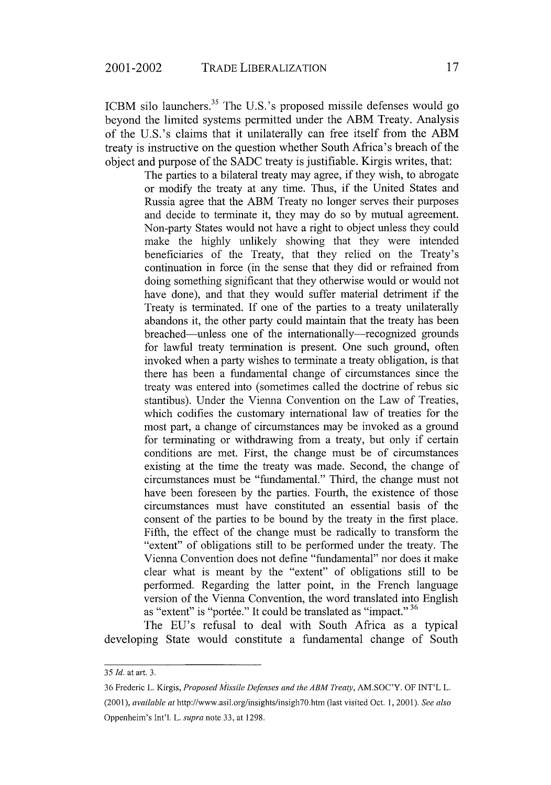ICBM silo launchers.<sup>35</sup> The U.S.'s proposed missile defenses would go beyond the limited systems permitted under the ABM Treaty. Analysis of the U.S.'s claims that it unilaterally can free itself from the ABM treaty is instructive on the question whether South Africa's breach of the object and purpose of the SADC treaty is justifiable. Kirgis writes, that:

> The parties to a bilateral treaty may agree, if they wish, to abrogate or modify the treaty at any time. Thus, if the United States and Russia agree that the ABM Treaty no longer serves their purposes and decide to terminate it, they may do so by mutual agreement. Non-party States would not have a right to object unless they could make the highly unlikely showing that they were intended beneficiaries of the Treaty, that they relied on the Treaty's continuation in force (in the sense that they did or refrained from doing something significant that they otherwise would or would not have done), and that they would suffer material detriment if the Treaty is terminated. If one of the parties to a treaty unilaterally abandons it, the other party could maintain that the treaty has been breached—unless one of the internationally—recognized grounds for lawful treaty termination is present. One such ground, often invoked when a party wishes to terminate a treaty obligation, is that there has been a fundamental change of circumstances since the treaty was entered into (sometimes called the doctrine of rebus sic stantibus). Under the Vienna Convention on the Law of Treaties, which codifies the customary international law of treaties for the most part, a change of circumstances may be invoked as a ground for terminating or withdrawing from a treaty, but only if certain conditions are met. First, the change must be of circumstances existing at the time the treaty was made. Second, the change of circumstances must be "fundamental." Third, the change must not have been foreseen by the parties. Fourth, the existence of those circumstances must have constituted an essential basis of the consent of the parties to be bound by the treaty in the first place. Fifth, the effect of the change must be radically to transform the "extent" of obligations still to be performed under the treaty. The Vienna Convention does not define "fundamental" nor does it make clear what is meant by the "extent" of obligations still to be performed. Regarding the latter point, in the French language version of the Vienna Convention, the word translated into English as "extent" is "portée." It could be translated as "impact." 36

The EU's refusal to deal with South Africa as a typical developing State would constitute a fundamental change of South

36 Frederic L. Kirgis, *Proposed Missile Defenses and the ABM Treaty,* AM.SOC'Y. OF INT'L L.

(2001), *available at* http://www.asil.org/insights/insigh70.htm (last visited Oct. 1,2001). *See also* Oppenheim's Int'l. L. *supra* note 33, at 1298.

*<sup>35</sup> Id.* at art. 3.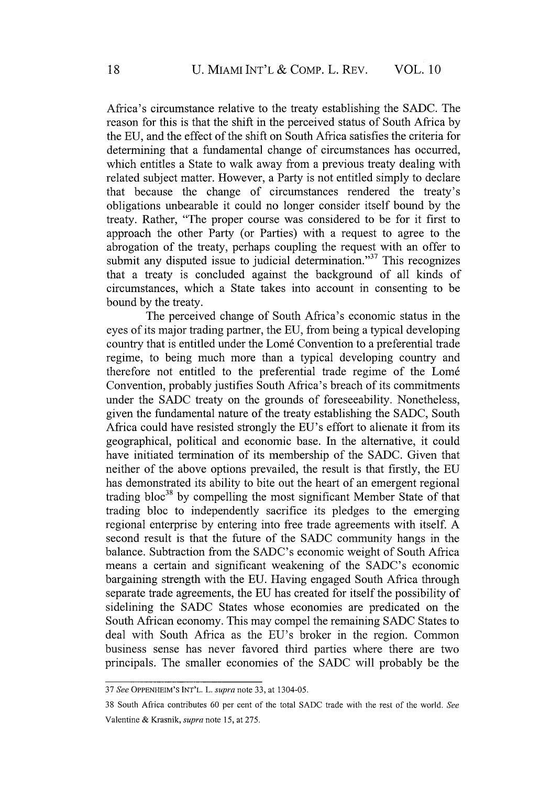Africa's circumstance relative to the treaty establishing the SADC. The reason for this is that the shift in the perceived status of South Africa by the EU, and the effect of the shift on South Africa satisfies the criteria for determining that a fundamental change of circumstances has occurred, which entitles a State to walk away from a previous treaty dealing with related subject matter. However, a Party is not entitled simply to declare that because the change of circumstances rendered the treaty's obligations unbearable it could no longer consider itself bound by the treaty. Rather, "The proper course was considered to be for it first to approach the other Party (or Parties) with a request to agree to the abrogation of the treaty, perhaps coupling the request with an offer to submit any disputed issue to judicial determination."<sup>37</sup> This recognizes that a treaty is concluded against the background of all kinds of circumstances, which a State takes into account in consenting to be bound by the treaty.

The perceived change of South Africa's economic status in the eyes of its major trading partner, the EU, from being a typical developing country that is entitled under the Lomé Convention to a preferential trade regime, to being much more than a typical developing country and therefore not entitled to the preferential trade regime of the Lom6 Convention, probably justifies South Africa's breach of its commitments under the SADC treaty on the grounds of foreseeability. Nonetheless, given the fundamental nature of the treaty establishing the SADC, South Africa could have resisted strongly the EU's effort to alienate it from its geographical, political and economic base. In the alternative, it could have initiated termination of its membership of the SADC. Given that neither of the above options prevailed, the result is that firstly, the EU has demonstrated its ability to bite out the heart of an emergent regional trading  $bloc^{38}$  by compelling the most significant Member State of that trading bloc to independently sacrifice its pledges to the emerging regional enterprise by entering into free trade agreements with itself. A second result is that the future of the SADC community hangs in the balance. Subtraction from the SADC's economic weight of South Africa means a certain and significant weakening of the SADC's economic bargaining strength with the EU. Having engaged South Africa through separate trade agreements, the EU has created for itself the possibility of sidelining the SADC States whose economies are predicated on the South African economy. This may compel the remaining SADC States to deal with South Africa as the EU's broker in the region. Common business sense has never favored third parties where there are two principals. The smaller economies of the SADC will probably be the

<sup>37</sup> *See* OPPENHEIM'S INT'L. L. *supra* note 33, at 1304-05.

<sup>38</sup> South Africa contributes 60 per cent of the total SADC trade with the rest of the world. *See* Valentine & Krasnik, *supra* note 15, at 275.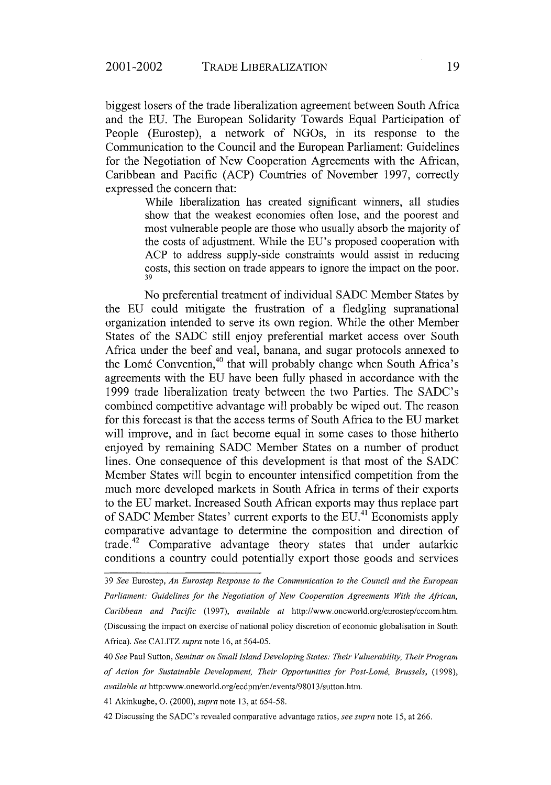biggest losers of the trade liberalization agreement between South Africa and the EU. The European Solidarity Towards Equal Participation of People (Eurostep), a network of NGOs, in its response to the Communication to the Council and the European Parliament: Guidelines for the Negotiation of New Cooperation Agreements with the African, Caribbean and Pacific (ACP) Countries of November 1997, correctly expressed the concern that:

> While liberalization has created significant winners, all studies show that the weakest economies often lose, and the poorest and most vulnerable people are those who usually absorb the majority of the costs of adjustment. While the EU's proposed cooperation with ACP to address supply-side constraints would assist in reducing costs, this section on trade appears to ignore the impact on the poor. 39

No preferential treatment of individual SADC Member States by the EU could mitigate the frustration of a fledgling supranational organization intended to serve its own region. While the other Member States of the SADC still enjoy preferential market access over South Africa under the beef and veal, banana, and sugar protocols annexed to the Lomé Convention,<sup>40</sup> that will probably change when South Africa's agreements with the EU have been fully phased in accordance with the 1999 trade liberalization treaty between the two Parties. The SADC's combined competitive advantage will probably be wiped out. The reason for this forecast is that the access terms of South Africa to the EU market will improve, and in fact become equal in some cases to those hitherto enjoyed by remaining SADC Member States on a number of product lines. One consequence of this development is that most of the SADC Member States will begin to encounter intensified competition from the much more developed markets in South Africa in terms of their exports to the EU market. Increased South African exports may thus replace part of SADC Member States' current exports to the EU.41 Economists apply comparative advantage to determine the composition and direction of trade.42 Comparative advantage theory states that under autarkic conditions a country could potentially export those goods and services

41 Akinkugbe, **0.** (2000), *supra* note 13, at 654-58.

42 Discussing the SADC's revealed comparative advantage ratios, *see supra* note 15, at 266.

<sup>39</sup> *See* Eurostep, *An Eurostep Response to the Communication to the Council and the European Parliament: Guidelines for the Negotiation of New Cooperation Agreements With the African, Caribbean and Pacific* (1997), *available at* http://www.oneworld.org/eurostep/eccom.htm. (Discussing the impact on exercise of national policy discretion of economic globalisation in South Africa). *See* CALITZ *supra* note 16, at 564-05.

<sup>40</sup> *See* Paul Sutton, *Seminar on Small Island Developing States: Their Vulnerability, Their Program of Action for Sustainable Development, Their Opportunities for Post-Lomb, Brussels,* (1998), *available at* http:www.oneworld.org/ecdpm/en/events/98013/sutton.htm.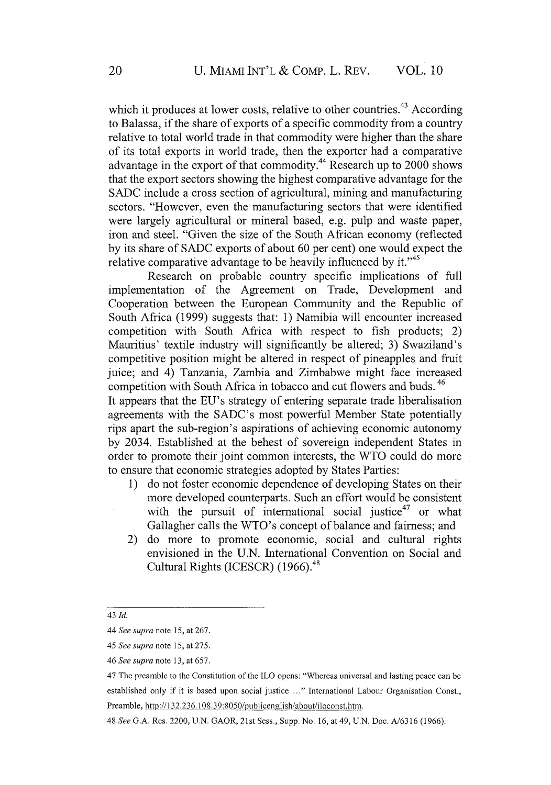which it produces at lower costs, relative to other countries.<sup>43</sup> According to Balassa, if the share of exports of a specific commodity from a country relative to total world trade in that commodity were higher than the share of its total exports in world trade, then the exporter had a comparative advantage in the export of that commodity.<sup>44</sup> Research up to  $2000$  shows that the export sectors showing the highest comparative advantage for the SADC include a cross section of agricultural, mining and manufacturing sectors. "However, even the manufacturing sectors that were identified were largely agricultural or mineral based, e.g. pulp and waste paper, iron and steel. "Given the size of the South African economy (reflected by its share of SADC exports of about 60 per cent) one would expect the relative comparative advantage to be heavily influenced by it."<sup>45</sup>

Research on probable country specific implications of full implementation of the Agreement on Trade, Development and Cooperation between the European Community and the Republic of South Africa (1999) suggests that: 1) Namibia will encounter increased competition with South Africa with respect to fish products; 2) Mauritius' textile industry will significantly be altered; 3) Swaziland's competitive position might be altered in respect of pineapples and fruit juice; and 4) Tanzania, Zambia and Zimbabwe might face increased competition with South Africa in tobacco and cut flowers and buds. 46

It appears that the EU's strategy of entering separate trade liberalisation agreements with the SADC's most powerful Member State potentially rips apart the sub-region's aspirations of achieving economic autonomy by 2034. Established at the behest of sovereign independent States in order to promote their joint common interests, the WTO could do more to ensure that economic strategies adopted by States Parties:

- 1) do not foster economic dependence of developing States on their more developed counterparts. Such an effort would be consistent with the pursuit of international social justice<sup>47</sup> or what Gallagher calls the WTO's concept of balance and fairness; and
- 2) do more to promote economic, social and cultural rights envisioned in the U.N. International Convention on Social and Cultural Rights (ICESCR) (1966).<sup>48</sup>

<sup>43</sup> *Id.*

<sup>44</sup> *See supra* note 15, at 267.

*<sup>45</sup> See supra* note *15,* at 275.

*<sup>46</sup> See supra* note 13, at 657.

<sup>47</sup> The preamble to the Constitution of the ILO opens: "Whereas universal and lasting peace can be established only if it is based upon social justice **... "** International Labour Organisation Const., Preamble, http://132.236. 108.39:8050/publicenglish/about/iloconst.htn.

<sup>48</sup> *See* G.A. Res. 2200, U.N. GAOR, 21st Sess., Supp. No. 16, at 49, U.N. Doc. A/6316 (1966).